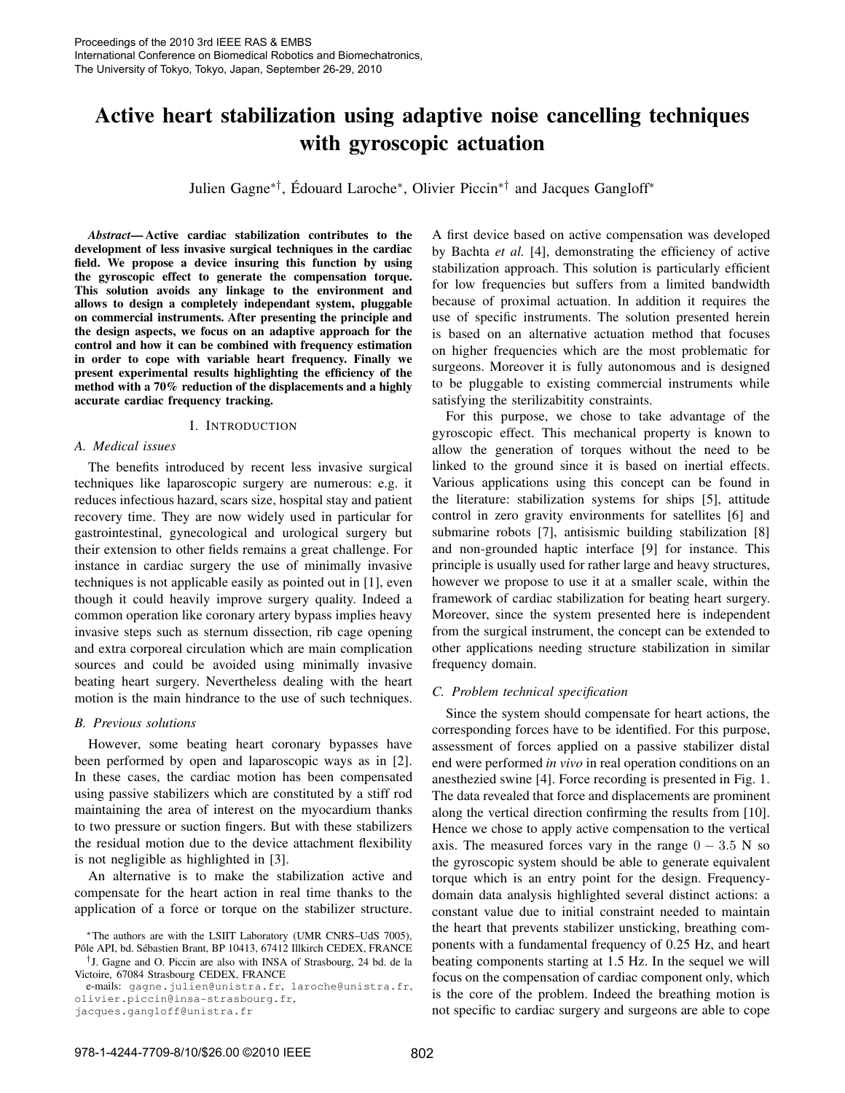# **Active heart stabilization using adaptive noise cancelling techniques with gyroscopic actuation**

Julien Gagne<sup>\*†</sup>, Édouard Laroche<sup>\*</sup>, Olivier Piccin<sup>\*†</sup> and Jacques Gangloff<sup>\*</sup>

*Abstract***— Active cardiac stabilization contributes to the development of less invasive surgical techniques in the cardiac field. We propose a device insuring this function by using the gyroscopic effect to generate the compensation torque. This solution avoids any linkage to the environment and allows to design a completely independant system, pluggable on commercial instruments. After presenting the principle and the design aspects, we focus on an adaptive approach for the control and how it can be combined with frequency estimation in order to cope with variable heart frequency. Finally we present experimental results highlighting the efficiency of the method with a 70% reduction of the displacements and a highly accurate cardiac frequency tracking.**

## I. INTRODUCTION

## *A. Medical issues*

The benefits introduced by recent less invasive surgical techniques like laparoscopic surgery are numerous: e.g. it reduces infectious hazard, scars size, hospital stay and patient recovery time. They are now widely used in particular for gastrointestinal, gynecological and urological surgery but their extension to other fields remains a great challenge. For instance in cardiac surgery the use of minimally invasive techniques is not applicable easily as pointed out in [1], even though it could heavily improve surgery quality. Indeed a common operation like coronary artery bypass implies heavy invasive steps such as sternum dissection, rib cage opening and extra corporeal circulation which are main complication sources and could be avoided using minimally invasive beating heart surgery. Nevertheless dealing with the heart motion is the main hindrance to the use of such techniques.

## *B. Previous solutions*

However, some beating heart coronary bypasses have been performed by open and laparoscopic ways as in [2]. In these cases, the cardiac motion has been compensated using passive stabilizers which are constituted by a stiff rod maintaining the area of interest on the myocardium thanks to two pressure or suction fingers. But with these stabilizers the residual motion due to the device attachment flexibility is not negligible as highlighted in [3].

An alternative is to make the stabilization active and compensate for the heart action in real time thanks to the application of a force or torque on the stabilizer structure.

† J. Gagne and O. Piccin are also with INSA of Strasbourg, 24 bd. de la Victoire, 67084 Strasbourg CEDEX, FRANCE

A first device based on active compensation was developed by Bachta *et al.* [4], demonstrating the efficiency of active stabilization approach. This solution is particularly efficient for low frequencies but suffers from a limited bandwidth because of proximal actuation. In addition it requires the use of specific instruments. The solution presented herein is based on an alternative actuation method that focuses on higher frequencies which are the most problematic for surgeons. Moreover it is fully autonomous and is designed to be pluggable to existing commercial instruments while satisfying the sterilizabitity constraints.

For this purpose, we chose to take advantage of the gyroscopic effect. This mechanical property is known to allow the generation of torques without the need to be linked to the ground since it is based on inertial effects. Various applications using this concept can be found in the literature: stabilization systems for ships [5], attitude control in zero gravity environments for satellites [6] and submarine robots [7], antisismic building stabilization [8] and non-grounded haptic interface [9] for instance. This principle is usually used for rather large and heavy structures, however we propose to use it at a smaller scale, within the framework of cardiac stabilization for beating heart surgery. Moreover, since the system presented here is independent from the surgical instrument, the concept can be extended to other applications needing structure stabilization in similar frequency domain.

## *C. Problem technical specification*

Since the system should compensate for heart actions, the corresponding forces have to be identified. For this purpose, assessment of forces applied on a passive stabilizer distal end were performed *in vivo* in real operation conditions on an anesthezied swine [4]. Force recording is presented in Fig. 1. The data revealed that force and displacements are prominent along the vertical direction confirming the results from [10]. Hence we chose to apply active compensation to the vertical axis. The measured forces vary in the range  $0 - 3.5$  N so the gyroscopic system should be able to generate equivalent torque which is an entry point for the design. Frequencydomain data analysis highlighted several distinct actions: a constant value due to initial constraint needed to maintain the heart that prevents stabilizer unsticking, breathing components with a fundamental frequency of 0.25 Hz, and heart beating components starting at 1.5 Hz. In the sequel we will focus on the compensation of cardiac component only, which is the core of the problem. Indeed the breathing motion is not specific to cardiac surgery and surgeons are able to cope

<sup>∗</sup>The authors are with the LSIIT Laboratory (UMR CNRS–UdS 7005), Pôle API, bd. Sébastien Brant, BP 10413, 67412 Illkirch CEDEX, FRANCE

e-mails: gagne.julien@unistra.fr, laroche@unistra.fr, olivier.piccin@insa-strasbourg.fr,

jacques.gangloff@unistra.fr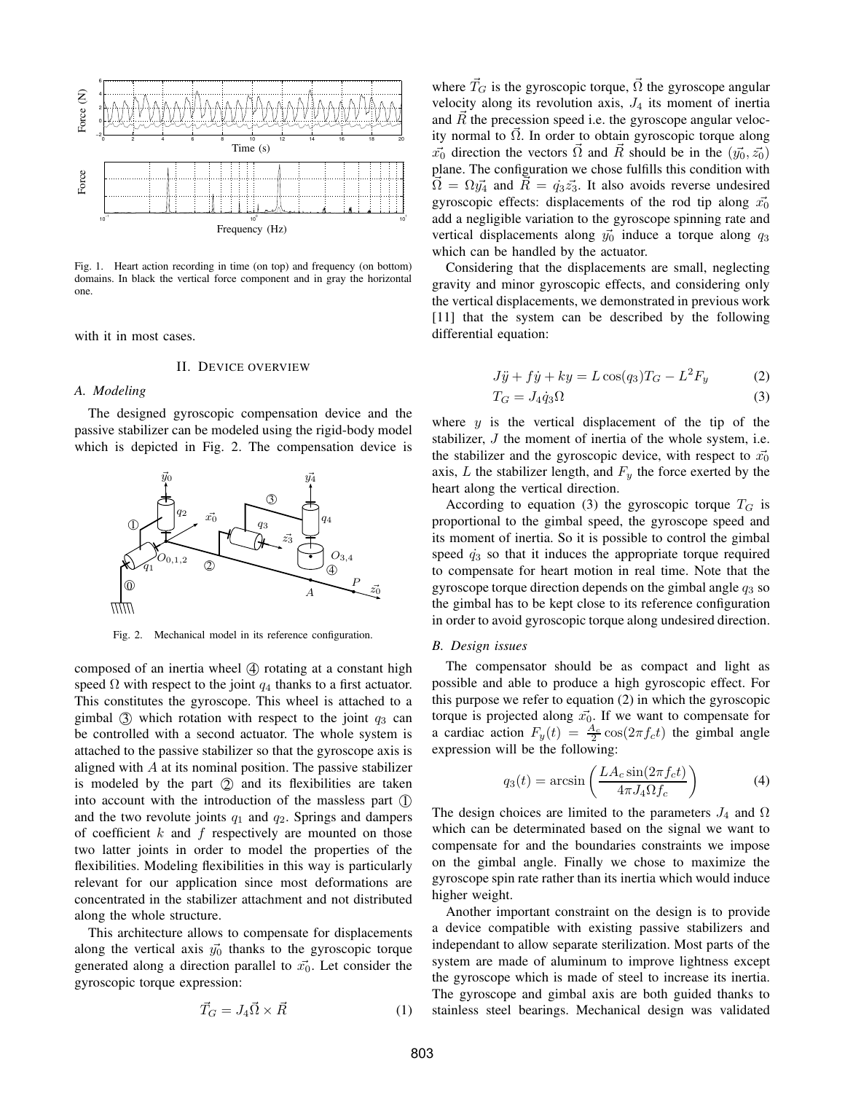

Fig. 1. Heart action recording in time (on top) and frequency (on bottom) domains. In black the vertical force component and in gray the horizontal one.

with it in most cases.

#### II. DEVICE OVERVIEW

## *A. Modeling*

The designed gyroscopic compensation device and the passive stabilizer can be modeled using the rigid-body model which is depicted in Fig. 2. The compensation device is



Fig. 2. Mechanical model in its reference configuration.

composed of an inertia wheel  $\phi$  rotating at a constant high speed  $\Omega$  with respect to the joint  $q_4$  thanks to a first actuator. This constitutes the gyroscope. This wheel is attached to a gimbal  $\circled{3}$  which rotation with respect to the joint  $q_3$  can be controlled with a second actuator. The whole system is attached to the passive stabilizer so that the gyroscope axis is aligned with  $A$  at its nominal position. The passive stabilizer is modeled by the part  $(2)$  and its flexibilities are taken into account with the introduction of the massless part (1) and the two revolute joints  $q_1$  and  $q_2$ . Springs and dampers of coefficient  $k$  and  $f$  respectively are mounted on those two latter joints in order to model the properties of the flexibilities. Modeling flexibilities in this way is particularly relevant for our application since most deformations are concentrated in the stabilizer attachment and not distributed along the whole structure.

This architecture allows to compensate for displacements along the vertical axis  $y_0^2$  thanks to the gyroscopic torque generated along a direction parallel to  $\vec{x_0}$ . Let consider the gyroscopic torque expression:

$$
\vec{T}_G = J_4 \vec{\Omega} \times \vec{R} \tag{1}
$$

where  $\vec{T}_{G}$  is the gyroscopic torque,  $\vec{\Omega}$  the gyroscope angular velocity along its revolution axis,  $J_4$  its moment of inertia and  $R$  the precession speed i.e. the gyroscope angular velocity normal to  $\vec{\Omega}$ . In order to obtain gyroscopic torque along  $x_0^2$  direction the vectors  $\Omega$  and R should be in the  $(\vec{y_0}, \vec{z_0})$ plane. The configuration we chose fulfills this condition with  $\Omega = \Omega y_4$  and  $R = \dot{q}_3 \dot{z}_3$ . It also avoids reverse undesired gyroscopic effects: displacements of the rod tip along  $\vec{x_0}$ add a negligible variation to the gyroscope spinning rate and vertical displacements along  $\vec{y_0}$  induce a torque along  $q_3$ which can be handled by the actuator.

Considering that the displacements are small, neglecting gravity and minor gyroscopic effects, and considering only the vertical displacements, we demonstrated in previous work [11] that the system can be described by the following differential equation:

$$
J\ddot{y} + f\dot{y} + ky = L\cos(q_3)T_G - L^2F_y \tag{2}
$$

$$
T_G = J_4 \dot{q}_3 \Omega \tag{3}
$$

where  $y$  is the vertical displacement of the tip of the stabilizer, J the moment of inertia of the whole system, i.e. the stabilizer and the gyroscopic device, with respect to  $\vec{x_0}$ axis, L the stabilizer length, and  $F_y$  the force exerted by the heart along the vertical direction.

According to equation (3) the gyroscopic torque  $T_G$  is proportional to the gimbal speed, the gyroscope speed and its moment of inertia. So it is possible to control the gimbal speed  $\dot{q}_3$  so that it induces the appropriate torque required to compensate for heart motion in real time. Note that the gyroscope torque direction depends on the gimbal angle  $q_3$  so the gimbal has to be kept close to its reference configuration in order to avoid gyroscopic torque along undesired direction.

### *B. Design issues*

The compensator should be as compact and light as possible and able to produce a high gyroscopic effect. For this purpose we refer to equation (2) in which the gyroscopic torque is projected along  $\vec{x_0}$ . If we want to compensate for a cardiac action  $F_y(t) = \frac{A_c}{2} \cos(2\pi f_c t)$  the gimbal angle expression will be the following:

$$
q_3(t) = \arcsin\left(\frac{LA_c \sin(2\pi f_c t)}{4\pi J_4 \Omega f_c}\right) \tag{4}
$$

The design choices are limited to the parameters  $J_4$  and  $\Omega$ which can be determinated based on the signal we want to compensate for and the boundaries constraints we impose on the gimbal angle. Finally we chose to maximize the gyroscope spin rate rather than its inertia which would induce higher weight.

Another important constraint on the design is to provide a device compatible with existing passive stabilizers and independant to allow separate sterilization. Most parts of the system are made of aluminum to improve lightness except the gyroscope which is made of steel to increase its inertia. The gyroscope and gimbal axis are both guided thanks to stainless steel bearings. Mechanical design was validated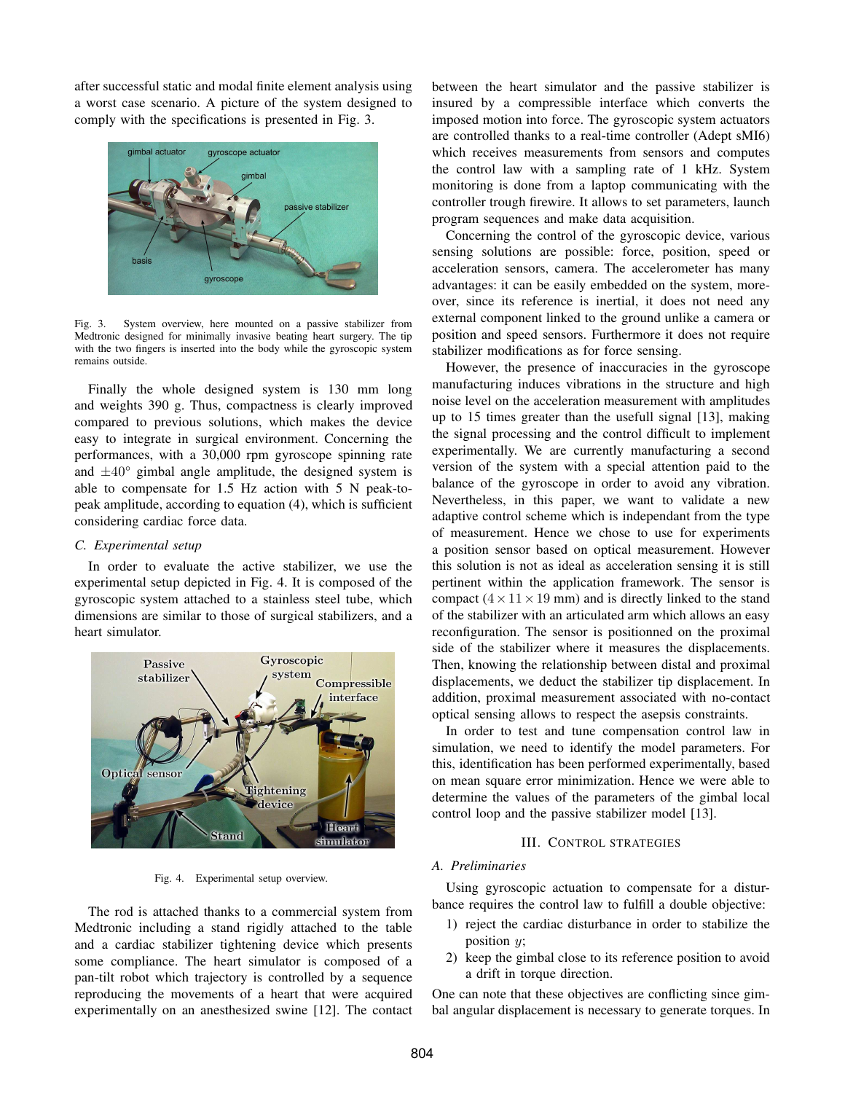after successful static and modal finite element analysis using a worst case scenario. A picture of the system designed to comply with the specifications is presented in Fig. 3.



Fig. 3. System overview, here mounted on a passive stabilizer from Medtronic designed for minimally invasive beating heart surgery. The tip with the two fingers is inserted into the body while the gyroscopic system remains outside.

Finally the whole designed system is 130 mm long and weights 390 g. Thus, compactness is clearly improved compared to previous solutions, which makes the device easy to integrate in surgical environment. Concerning the performances, with a 30,000 rpm gyroscope spinning rate and  $\pm 40^{\circ}$  gimbal angle amplitude, the designed system is able to compensate for 1.5 Hz action with 5 N peak-topeak amplitude, according to equation (4), which is sufficient considering cardiac force data.

## *C. Experimental setup*

In order to evaluate the active stabilizer, we use the experimental setup depicted in Fig. 4. It is composed of the gyroscopic system attached to a stainless steel tube, which dimensions are similar to those of surgical stabilizers, and a heart simulator.



Fig. 4. Experimental setup overview.

The rod is attached thanks to a commercial system from Medtronic including a stand rigidly attached to the table and a cardiac stabilizer tightening device which presents some compliance. The heart simulator is composed of a pan-tilt robot which trajectory is controlled by a sequence reproducing the movements of a heart that were acquired experimentally on an anesthesized swine [12]. The contact between the heart simulator and the passive stabilizer is insured by a compressible interface which converts the imposed motion into force. The gyroscopic system actuators are controlled thanks to a real-time controller (Adept sMI6) which receives measurements from sensors and computes the control law with a sampling rate of 1 kHz. System monitoring is done from a laptop communicating with the controller trough firewire. It allows to set parameters, launch program sequences and make data acquisition.

Concerning the control of the gyroscopic device, various sensing solutions are possible: force, position, speed or acceleration sensors, camera. The accelerometer has many advantages: it can be easily embedded on the system, moreover, since its reference is inertial, it does not need any external component linked to the ground unlike a camera or position and speed sensors. Furthermore it does not require stabilizer modifications as for force sensing.

However, the presence of inaccuracies in the gyroscope manufacturing induces vibrations in the structure and high noise level on the acceleration measurement with amplitudes up to 15 times greater than the usefull signal [13], making the signal processing and the control difficult to implement experimentally. We are currently manufacturing a second version of the system with a special attention paid to the balance of the gyroscope in order to avoid any vibration. Nevertheless, in this paper, we want to validate a new adaptive control scheme which is independant from the type of measurement. Hence we chose to use for experiments a position sensor based on optical measurement. However this solution is not as ideal as acceleration sensing it is still pertinent within the application framework. The sensor is compact  $(4 \times 11 \times 19 \text{ mm})$  and is directly linked to the stand of the stabilizer with an articulated arm which allows an easy reconfiguration. The sensor is positionned on the proximal side of the stabilizer where it measures the displacements. Then, knowing the relationship between distal and proximal displacements, we deduct the stabilizer tip displacement. In addition, proximal measurement associated with no-contact optical sensing allows to respect the asepsis constraints.

In order to test and tune compensation control law in simulation, we need to identify the model parameters. For this, identification has been performed experimentally, based on mean square error minimization. Hence we were able to determine the values of the parameters of the gimbal local control loop and the passive stabilizer model [13].

## III. CONTROL STRATEGIES

## *A. Preliminaries*

Using gyroscopic actuation to compensate for a disturbance requires the control law to fulfill a double objective:

- 1) reject the cardiac disturbance in order to stabilize the position  $y$ ;
- 2) keep the gimbal close to its reference position to avoid a drift in torque direction.

One can note that these objectives are conflicting since gimbal angular displacement is necessary to generate torques. In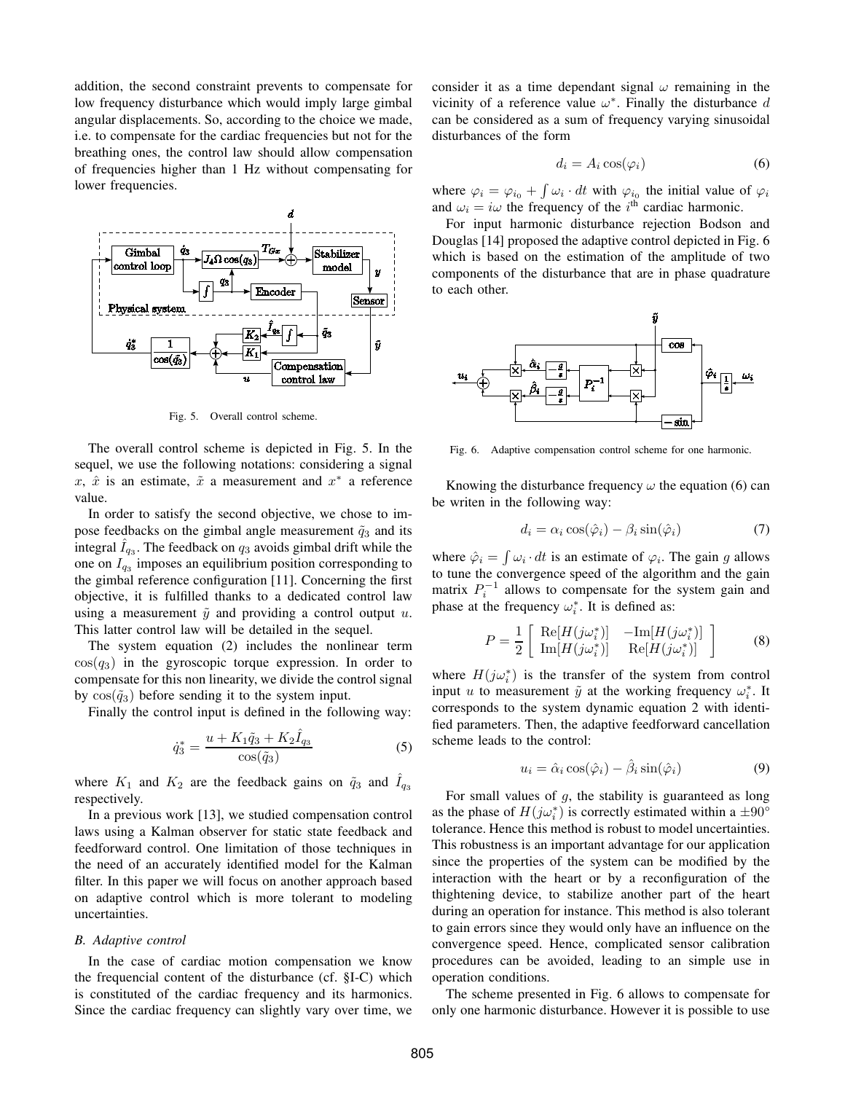addition, the second constraint prevents to compensate for low frequency disturbance which would imply large gimbal angular displacements. So, according to the choice we made, i.e. to compensate for the cardiac frequencies but not for the breathing ones, the control law should allow compensation of frequencies higher than 1 Hz without compensating for lower frequencies.



Fig. 5. Overall control scheme.

The overall control scheme is depicted in Fig. 5. In the sequel, we use the following notations: considering a signal x,  $\hat{x}$  is an estimate,  $\tilde{x}$  a measurement and  $x^*$  a reference value.

In order to satisfy the second objective, we chose to impose feedbacks on the gimbal angle measurement  $\tilde{q}_3$  and its integral  $\hat{I}_{q_3}$ . The feedback on  $q_3$  avoids gimbal drift while the one on  $I_{q_3}$  imposes an equilibrium position corresponding to the gimbal reference configuration [11]. Concerning the first objective, it is fulfilled thanks to a dedicated control law using a measurement  $\tilde{y}$  and providing a control output u. This latter control law will be detailed in the sequel.

The system equation (2) includes the nonlinear term  $cos(q_3)$  in the gyroscopic torque expression. In order to compensate for this non linearity, we divide the control signal by  $cos(\tilde{q}_3)$  before sending it to the system input.

Finally the control input is defined in the following way:

$$
\dot{q}_3^* = \frac{u + K_1 \tilde{q}_3 + K_2 \hat{I}_{q_3}}{\cos(\tilde{q}_3)}\tag{5}
$$

where  $K_1$  and  $K_2$  are the feedback gains on  $\tilde{q}_3$  and  $\tilde{I}_{q_3}$ respectively.

In a previous work [13], we studied compensation control laws using a Kalman observer for static state feedback and feedforward control. One limitation of those techniques in the need of an accurately identified model for the Kalman filter. In this paper we will focus on another approach based on adaptive control which is more tolerant to modeling uncertainties.

## *B. Adaptive control*

In the case of cardiac motion compensation we know the frequencial content of the disturbance (cf. §I-C) which is constituted of the cardiac frequency and its harmonics. Since the cardiac frequency can slightly vary over time, we consider it as a time dependant signal  $\omega$  remaining in the vicinity of a reference value  $\omega^*$ . Finally the disturbance d can be considered as a sum of frequency varying sinusoidal disturbances of the form

$$
d_i = A_i \cos(\varphi_i) \tag{6}
$$

where  $\varphi_i = \varphi_{i_0} + \int \omega_i \cdot dt$  with  $\varphi_{i_0}$  the initial value of  $\varphi_i$ and  $\omega_i = i\omega$  the frequency of the i<sup>th</sup> cardiac harmonic.

For input harmonic disturbance rejection Bodson and Douglas [14] proposed the adaptive control depicted in Fig. 6 which is based on the estimation of the amplitude of two components of the disturbance that are in phase quadrature to each other.



Fig. 6. Adaptive compensation control scheme for one harmonic.

Knowing the disturbance frequency  $\omega$  the equation (6) can be writen in the following way:

$$
d_i = \alpha_i \cos(\hat{\varphi}_i) - \beta_i \sin(\hat{\varphi}_i)
$$
 (7)

where  $\hat{\varphi}_i = \int \omega_i \cdot dt$  is an estimate of  $\varphi_i$ . The gain g allows to tune the convergence speed of the algorithm and the gain matrix  $P_i^{-1}$  $i_i^{-1}$  allows to compensate for the system gain and phase at the frequency  $\omega_i^*$ . It is defined as:

$$
P = \frac{1}{2} \begin{bmatrix} \text{Re}[H(j\omega_i^*)] & -\text{Im}[H(j\omega_i^*)] \\ \text{Im}[H(j\omega_i^*)] & \text{Re}[H(j\omega_i^*)] \end{bmatrix}
$$
 (8)

where  $H(j\omega_i^*)$  is the transfer of the system from control input u to measurement  $\tilde{y}$  at the working frequency  $\omega_i^*$ . It corresponds to the system dynamic equation 2 with identified parameters. Then, the adaptive feedforward cancellation scheme leads to the control:

$$
u_i = \hat{\alpha}_i \cos(\hat{\varphi}_i) - \hat{\beta}_i \sin(\hat{\varphi}_i)
$$
 (9)

For small values of  $g$ , the stability is guaranteed as long as the phase of  $H(j\omega_i^*)$  is correctly estimated within a  $\pm 90^\circ$ tolerance. Hence this method is robust to model uncertainties. This robustness is an important advantage for our application since the properties of the system can be modified by the interaction with the heart or by a reconfiguration of the thightening device, to stabilize another part of the heart during an operation for instance. This method is also tolerant to gain errors since they would only have an influence on the convergence speed. Hence, complicated sensor calibration procedures can be avoided, leading to an simple use in operation conditions.

The scheme presented in Fig. 6 allows to compensate for only one harmonic disturbance. However it is possible to use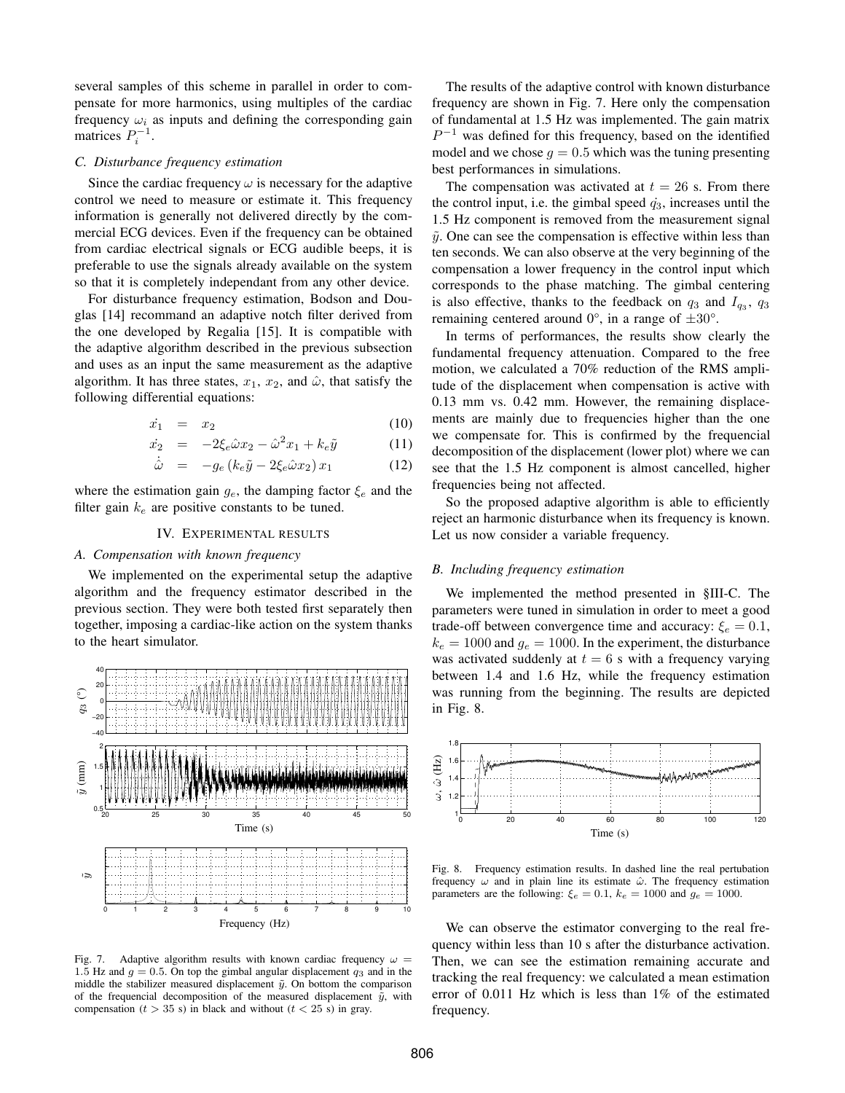several samples of this scheme in parallel in order to compensate for more harmonics, using multiples of the cardiac frequency  $\omega_i$  as inputs and defining the corresponding gain matrices  $P_i^{-1}$  $i^{-1}$ .

## *C. Disturbance frequency estimation*

Since the cardiac frequency  $\omega$  is necessary for the adaptive control we need to measure or estimate it. This frequency information is generally not delivered directly by the commercial ECG devices. Even if the frequency can be obtained from cardiac electrical signals or ECG audible beeps, it is preferable to use the signals already available on the system so that it is completely independant from any other device.

For disturbance frequency estimation, Bodson and Douglas [14] recommand an adaptive notch filter derived from the one developed by Regalia [15]. It is compatible with the adaptive algorithm described in the previous subsection and uses as an input the same measurement as the adaptive algorithm. It has three states,  $x_1, x_2$ , and  $\hat{\omega}$ , that satisfy the following differential equations:

$$
\dot{x}_1 = x_2 \tag{10}
$$

$$
\dot{x}_2 = -2\xi_e \hat{\omega} x_2 - \hat{\omega}^2 x_1 + k_e \tilde{y} \tag{11}
$$

$$
\dot{\hat{\omega}} = -g_e \left( k_e \tilde{y} - 2 \xi_e \hat{\omega} x_2 \right) x_1 \tag{12}
$$

where the estimation gain  $g_e$ , the damping factor  $\xi_e$  and the filter gain  $k_e$  are positive constants to be tuned.

#### IV. EXPERIMENTAL RESULTS

## *A. Compensation with known frequency*

We implemented on the experimental setup the adaptive algorithm and the frequency estimator described in the previous section. They were both tested first separately then together, imposing a cardiac-like action on the system thanks to the heart simulator.



Fig. 7. Adaptive algorithm results with known cardiac frequency  $\omega =$ 1.5 Hz and  $g = 0.5$ . On top the gimbal angular displacement  $q_3$  and in the middle the stabilizer measured displacement  $\tilde{y}$ . On bottom the comparison of the frequencial decomposition of the measured displacement  $\tilde{y}$ , with compensation  $(t > 35 s)$  in black and without  $(t < 25 s)$  in gray.

The results of the adaptive control with known disturbance frequency are shown in Fig. 7. Here only the compensation of fundamental at 1.5 Hz was implemented. The gain matrix  $P^{-1}$  was defined for this frequency, based on the identified model and we chose  $g = 0.5$  which was the tuning presenting best performances in simulations.

The compensation was activated at  $t = 26$  s. From there the control input, i.e. the gimbal speed  $\dot{q}_3$ , increases until the 1.5 Hz component is removed from the measurement signal  $\tilde{y}$ . One can see the compensation is effective within less than ten seconds. We can also observe at the very beginning of the compensation a lower frequency in the control input which corresponds to the phase matching. The gimbal centering is also effective, thanks to the feedback on  $q_3$  and  $I_{q_3}$ ,  $q_3$ remaining centered around  $0^{\circ}$ , in a range of  $\pm 30^{\circ}$ .

In terms of performances, the results show clearly the fundamental frequency attenuation. Compared to the free motion, we calculated a 70% reduction of the RMS amplitude of the displacement when compensation is active with 0.13 mm vs. 0.42 mm. However, the remaining displacements are mainly due to frequencies higher than the one we compensate for. This is confirmed by the frequencial decomposition of the displacement (lower plot) where we can see that the 1.5 Hz component is almost cancelled, higher frequencies being not affected.

So the proposed adaptive algorithm is able to efficiently reject an harmonic disturbance when its frequency is known. Let us now consider a variable frequency.

## *B. Including frequency estimation*

We implemented the method presented in §III-C. The parameters were tuned in simulation in order to meet a good trade-off between convergence time and accuracy:  $\xi_e = 0.1$ ,  $k_e = 1000$  and  $g_e = 1000$ . In the experiment, the disturbance was activated suddenly at  $t = 6$  s with a frequency varying between 1.4 and 1.6 Hz, while the frequency estimation was running from the beginning. The results are depicted in Fig. 8.



Fig. 8. Frequency estimation results. In dashed line the real pertubation frequency  $\omega$  and in plain line its estimate  $\hat{\omega}$ . The frequency estimation parameters are the following:  $\xi_e = 0.1$ ,  $k_e = 1000$  and  $g_e = 1000$ .

We can observe the estimator converging to the real frequency within less than 10 s after the disturbance activation. Then, we can see the estimation remaining accurate and tracking the real frequency: we calculated a mean estimation error of 0.011 Hz which is less than 1% of the estimated frequency.